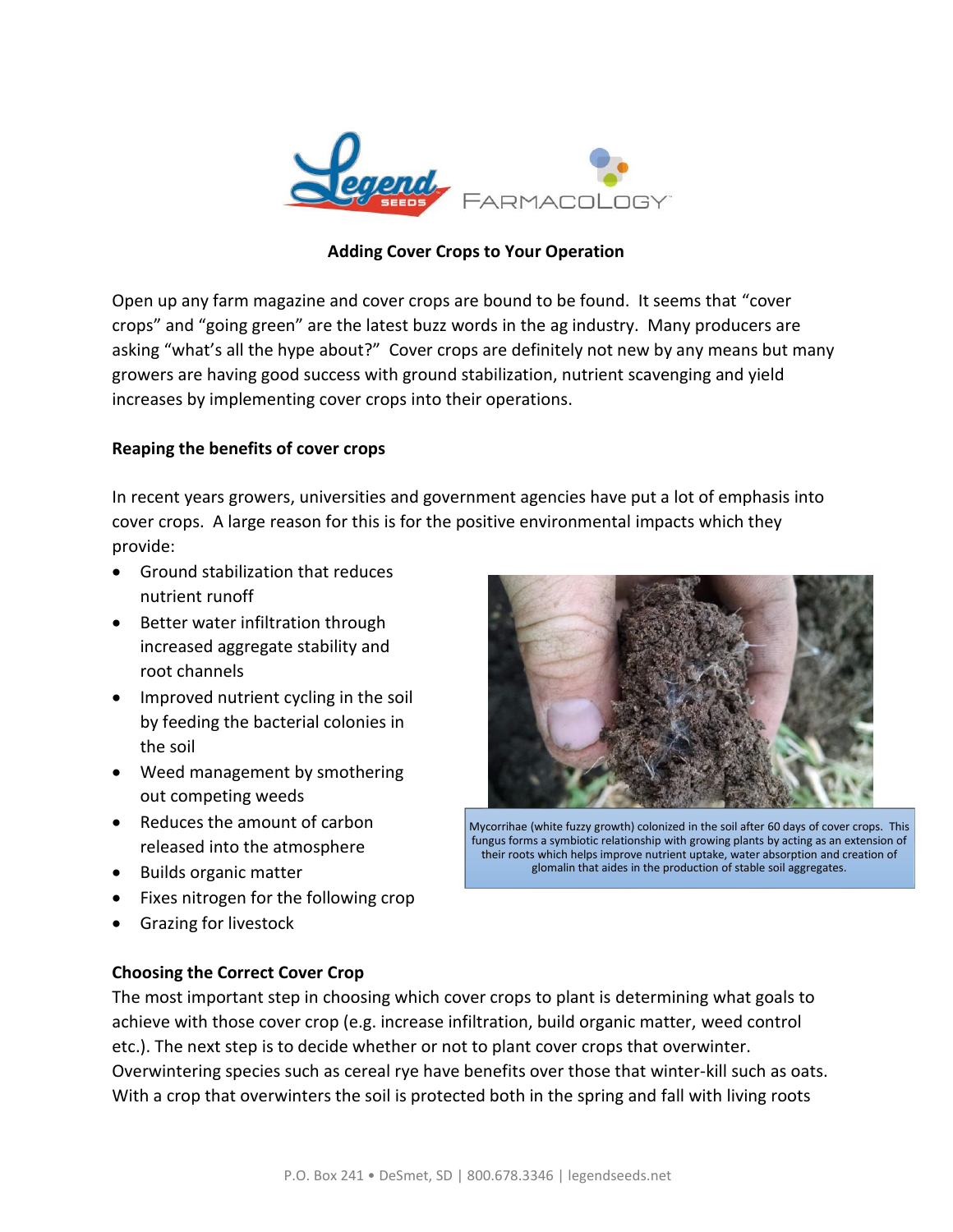

## **Adding Cover Crops to Your Operation**

Open up any farm magazine and cover crops are bound to be found. It seems that "cover crops" and "going green" are the latest buzz words in the ag industry. Many producers are asking "what's all the hype about?" Cover crops are definitely not new by any means but many growers are having good success with ground stabilization, nutrient scavenging and yield increases by implementing cover crops into their operations.

## **Reaping the benefits of cover crops**

In recent years growers, universities and government agencies have put a lot of emphasis into cover crops. A large reason for this is for the positive environmental impacts which they provide:

- Ground stabilization that reduces nutrient runoff
- Better water infiltration through increased aggregate stability and root channels
- Improved nutrient cycling in the soil by feeding the bacterial colonies in the soil
- Weed management by smothering out competing weeds
- Reduces the amount of carbon released into the atmosphere
- Builds organic matter
- Fixes nitrogen for the following crop
- Grazing for livestock



Mycorrihae (white fuzzy growth) colonized in the soil after 60 days of cover crops. This fungus forms a symbiotic relationship with growing plants by acting as an extension of their roots which helps improve nutrient uptake, water absorption and creation of glomalin that aides in the production of stable soil aggregates.

## **Choosing the Correct Cover Crop**

The most important step in choosing which cover crops to plant is determining what goals to achieve with those cover crop (e.g. increase infiltration, build organic matter, weed control etc.). The next step is to decide whether or not to plant cover crops that overwinter. Overwintering species such as cereal rye have benefits over those that winter-kill such as oats. With a crop that overwinters the soil is protected both in the spring and fall with living roots